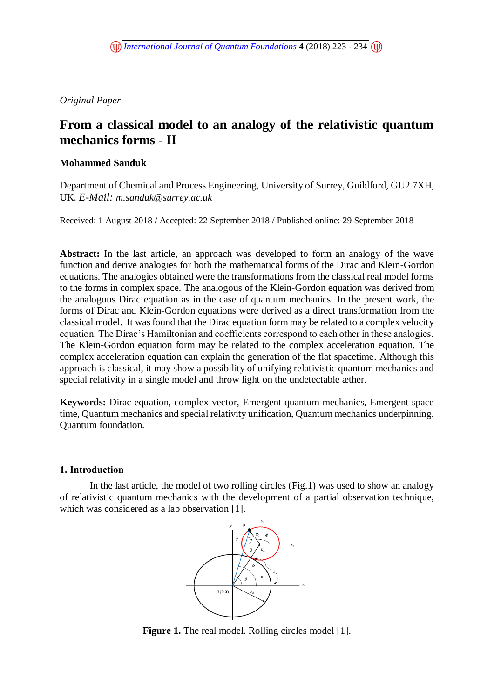*Original Paper* 

# **From a classical model to an analogy of the relativistic quantum mechanics forms - II**

# **Mohammed Sanduk**

Department of Chemical and Process Engineering, University of Surrey, Guildford, GU2 7XH, UK.*E-Mail: [m.sanduk@surrey.ac.uk](mailto:m.sanduk@surrey.ac.uk)*

Received: 1 August 2018 / Accepted: 22 September 2018 / Published online: 29 September 2018

**Abstract:** In the last article, an approach was developed to form an analogy of the wave function and derive analogies for both the mathematical forms of the Dirac and Klein-Gordon equations. The analogies obtained were the transformations from the classical real model forms to the forms in complex space. The analogous of the Klein-Gordon equation was derived from the analogous Dirac equation as in the case of quantum mechanics. In the present work, the forms of Dirac and Klein-Gordon equations were derived as a direct transformation from the classical model. It was found that the Dirac equation form may be related to a complex velocity equation. The Dirac's Hamiltonian and coefficients correspond to each other in these analogies. The Klein-Gordon equation form may be related to the complex acceleration equation. The complex acceleration equation can explain the generation of the flat spacetime. Although this approach is classical, it may show a possibility of unifying relativistic quantum mechanics and special relativity in a single model and throw light on the undetectable æther.

**Keywords:** Dirac equation, complex vector, Emergent quantum mechanics, Emergent space time, Quantum mechanics and special relativity unification, Quantum mechanics underpinning. Quantum foundation.

# **1. Introduction**

In the last article, the model of two rolling circles (Fig.1) was used to show an analogy of relativistic quantum mechanics with the development of a partial observation technique, which was considered as a lab observation [1].



**Figure 1.** The real model. Rolling circles model [1].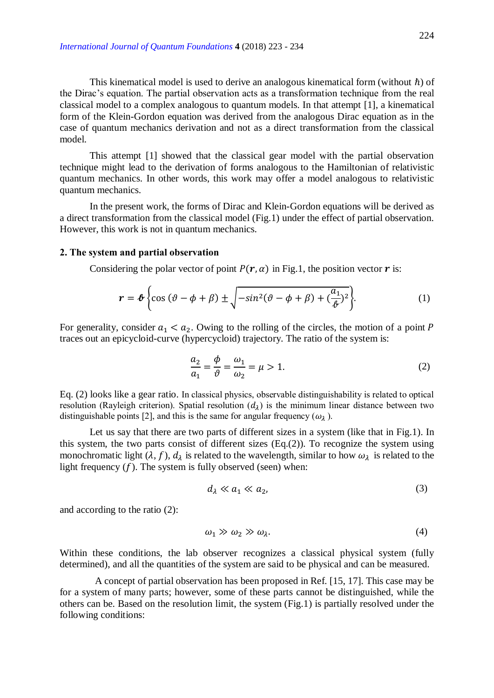This kinematical model is used to derive an analogous kinematical form (without  $\hbar$ ) of the Dirac's equation. The partial observation acts as a transformation technique from the real classical model to a complex analogous to quantum models. In that attempt [1], a kinematical form of the Klein-Gordon equation was derived from the analogous Dirac equation as in the case of quantum mechanics derivation and not as a direct transformation from the classical model.

This attempt [1] showed that the classical gear model with the partial observation technique might lead to the derivation of forms analogous to the Hamiltonian of relativistic quantum mechanics. In other words, this work may offer a model analogous to relativistic quantum mechanics.

In the present work, the forms of Dirac and Klein-Gordon equations will be derived as a direct transformation from the classical model (Fig.1) under the effect of partial observation. However, this work is not in quantum mechanics.

#### **2. The system and partial observation**

Considering the polar vector of point  $P(r, \alpha)$  in Fig.1, the position vector r is:

$$
\mathbf{r} = \boldsymbol{\ell} \left\{ \cos \left( \vartheta - \phi + \beta \right) \pm \sqrt{-\sin^2(\vartheta - \phi + \beta) + \left( \frac{a_1}{\vartheta} \right)^2} \right\}.
$$
 (1)

For generality, consider  $a_1 < a_2$ . Owing to the rolling of the circles, the motion of a point P traces out an epicycloid-curve (hypercycloid) trajectory. The ratio of the system is:

$$
\frac{a_2}{a_1} = \frac{\phi}{\vartheta} = \frac{\omega_1}{\omega_2} = \mu > 1.
$$
\n(2)

Eq. (2) looks like a gear ratio. In classical physics, observable distinguishability is related to optical resolution (Rayleigh criterion). Spatial resolution  $(d<sub>1</sub>)$  is the minimum linear distance between two distinguishable points [2], and this is the same for angular frequency ( $\omega_2$ ).

Let us say that there are two parts of different sizes in a system (like that in Fig.1). In this system, the two parts consist of different sizes (Eq.(2)). To recognize the system using monochromatic light  $(\lambda, f)$ ,  $d_{\lambda}$  is related to the wavelength, similar to how  $\omega_{\lambda}$  is related to the light frequency  $(f)$ . The system is fully observed (seen) when:

$$
d_{\lambda} \ll a_1 \ll a_2,\tag{3}
$$

and according to the ratio (2):

$$
\omega_1 \gg \omega_2 \gg \omega_\lambda. \tag{4}
$$

Within these conditions, the lab observer recognizes a classical physical system (fully determined), and all the quantities of the system are said to be physical and can be measured.

A concept of partial observation has been proposed in Ref. [15, 17]. This case may be for a system of many parts; however, some of these parts cannot be distinguished, while the others can be. Based on the resolution limit, the system (Fig.1) is partially resolved under the following conditions: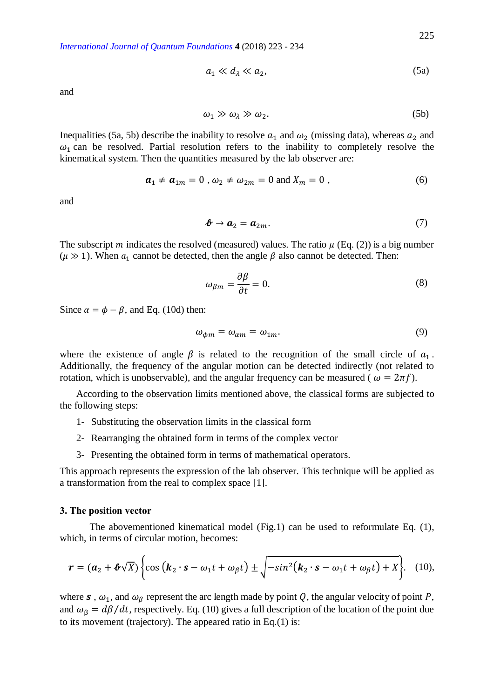$$
a_1 \ll d_\lambda \ll a_2,\tag{5a}
$$

and

$$
\omega_1 \gg \omega_\lambda \gg \omega_2. \tag{5b}
$$

Inequalities (5a, 5b) describe the inability to resolve  $a_1$  and  $\omega_2$  (missing data), whereas  $a_2$  and  $\omega_1$  can be resolved. Partial resolution refers to the inability to completely resolve the kinematical system. Then the quantities measured by the lab observer are:

$$
\boldsymbol{a}_1 \neq \boldsymbol{a}_{1m} = 0 \ , \ \omega_2 \neq \omega_{2m} = 0 \text{ and } X_m = 0 \ , \tag{6}
$$

and

$$
\boldsymbol{\ell} \to \boldsymbol{a}_2 = \boldsymbol{a}_{2m}. \tag{7}
$$

The subscript m indicates the resolved (measured) values. The ratio  $\mu$  (Eq. (2)) is a big number ( $\mu \gg 1$ ). When  $a_1$  cannot be detected, then the angle  $\beta$  also cannot be detected. Then:

$$
\omega_{\beta m} = \frac{\partial \beta}{\partial t} = 0. \tag{8}
$$

Since  $\alpha = \phi - \beta$ , and Eq. (10d) then:

$$
\omega_{\phi m} = \omega_{\alpha m} = \omega_{1m}.\tag{9}
$$

where the existence of angle  $\beta$  is related to the recognition of the small circle of  $a_1$ . Additionally, the frequency of the angular motion can be detected indirectly (not related to rotation, which is unobservable), and the angular frequency can be measured ( $\omega = 2\pi f$ ).

According to the observation limits mentioned above, the classical forms are subjected to the following steps:

- 1- Substituting the observation limits in the classical form
- 2- Rearranging the obtained form in terms of the complex vector
- 3- Presenting the obtained form in terms of mathematical operators.

This approach represents the expression of the lab observer. This technique will be applied as a transformation from the real to complex space [1].

#### **3. The position vector**

The abovementioned kinematical model (Fig.1) can be used to reformulate Eq. (1), which, in terms of circular motion, becomes:

$$
\boldsymbol{r} = (\boldsymbol{a}_2 + \boldsymbol{\ell}\sqrt{X}) \bigg\{ \cos\left(\boldsymbol{k}_2 \cdot \boldsymbol{s} - \omega_1 t + \omega_{\beta} t\right) \pm \sqrt{-\sin^2\!\left(\boldsymbol{k}_2 \cdot \boldsymbol{s} - \omega_1 t + \omega_{\beta} t\right) + X} \bigg\}.
$$
 (10),

where  $\bf{s}$ ,  $\omega_1$ , and  $\omega_\beta$  represent the arc length made by point Q, the angular velocity of point P, and  $\omega_{\beta} = d\beta/dt$ , respectively. Eq. (10) gives a full description of the location of the point due to its movement (trajectory). The appeared ratio in Eq.(1) is: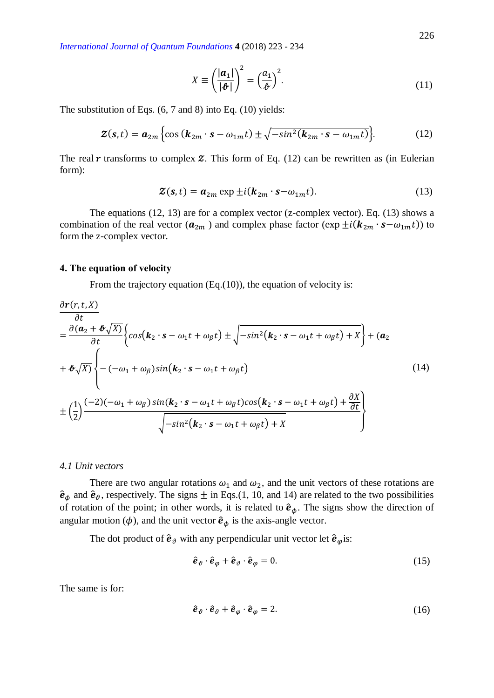$$
X \equiv \left(\frac{|\mathbf{a}_1|}{|\mathbf{\hat{\theta}}|}\right)^2 = \left(\frac{a_1}{\mathbf{\hat{\theta}}}\right)^2. \tag{11}
$$

The substitution of Eqs. (6, 7 and 8) into Eq. (10) yields:

$$
\mathbf{Z}(\mathbf{s},t) = \boldsymbol{a}_{2m} \left\{ \cos\left(\boldsymbol{k}_{2m} \cdot \mathbf{s} - \omega_{1m}t\right) \pm \sqrt{-\sin^2(\boldsymbol{k}_{2m} \cdot \mathbf{s} - \omega_{1m}t)} \right\}.
$$
 (12)

The real  $r$  transforms to complex  $\mathcal Z$ . This form of Eq. (12) can be rewritten as (in Eulerian form):

$$
\mathbf{Z}(\mathbf{s},t) = \mathbf{a}_{2m} \exp \pm i(\mathbf{k}_{2m} \cdot \mathbf{s} - \omega_{1m}t). \tag{13}
$$

The equations (12, 13) are for a complex vector (z-complex vector). Eq. (13) shows a combination of the real vector ( $a_{2m}$ ) and complex phase factor ( $\exp \pm i(k_{2m} \cdot s - \omega_{1m} t)$ ) to form the z-complex vector.

### **4. The equation of velocity**

From the trajectory equation (Eq.(10)), the equation of velocity is:

$$
\frac{\partial \mathbf{r}(r, t, X)}{\partial t} = \frac{\partial (\mathbf{a}_2 + \mathbf{\Phi} \sqrt{X})}{\partial t} \Biggl\{ \cos(\mathbf{k}_2 \cdot \mathbf{s} - \omega_1 t + \omega_\beta t) \pm \sqrt{-\sin^2(\mathbf{k}_2 \cdot \mathbf{s} - \omega_1 t + \omega_\beta t) + X} \Biggr\} + (\mathbf{a}_2 + \mathbf{\Phi} \sqrt{X}) \Biggl\{ -(-\omega_1 + \omega_\beta) \sin(\mathbf{k}_2 \cdot \mathbf{s} - \omega_1 t + \omega_\beta t) + \omega_2 \Biggr\} + (\omega_2 + \omega_1 \cdot \omega_\beta) \Biggr\}
$$
\n
$$
= \left(\frac{1}{2}\right) \frac{(-2)(-\omega_1 + \omega_\beta) \sin(\mathbf{k}_2 \cdot \mathbf{s} - \omega_1 t + \omega_\beta t) \cos(\mathbf{k}_2 \cdot \mathbf{s} - \omega_1 t + \omega_\beta t) + \frac{\partial X}{\partial t}}{\sqrt{-\sin^2(\mathbf{k}_2 \cdot \mathbf{s} - \omega_1 t + \omega_\beta t) + X}} \Biggr\}
$$
\n(14)

#### *4.1 Unit vectors*

There are two angular rotations  $\omega_1$  and  $\omega_2$ , and the unit vectors of these rotations are  $\hat{\mathbf{e}}_{\phi}$  and  $\hat{\mathbf{e}}_{\theta}$ , respectively. The signs  $\pm$  in Eqs.(1, 10, and 14) are related to the two possibilities of rotation of the point; in other words, it is related to  $\hat{\mathbf{e}}_{\phi}$ . The signs show the direction of angular motion ( $\phi$ ), and the unit vector  $\hat{\mathbf{e}}_{\phi}$  is the axis-angle vector.

The dot product of  $\hat{\mathbf{e}}_{\theta}$  with any perpendicular unit vector let  $\hat{\mathbf{e}}_{\varphi}$  is:

$$
\hat{\boldsymbol{e}}_{\vartheta} \cdot \hat{\boldsymbol{e}}_{\varphi} + \hat{\boldsymbol{e}}_{\vartheta} \cdot \hat{\boldsymbol{e}}_{\varphi} = 0. \tag{15}
$$

The same is for:

$$
\hat{\boldsymbol{e}}_{\vartheta} \cdot \hat{\boldsymbol{e}}_{\vartheta} + \hat{\boldsymbol{e}}_{\varphi} \cdot \hat{\boldsymbol{e}}_{\varphi} = 2. \tag{16}
$$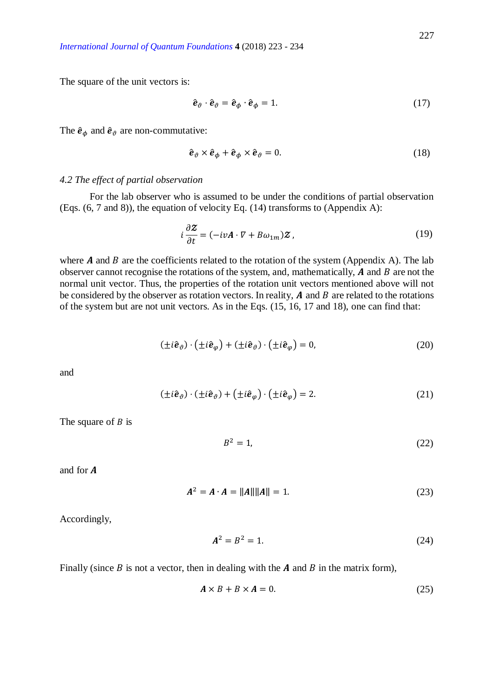The square of the unit vectors is:

$$
\hat{\mathbf{e}}_{\vartheta} \cdot \hat{\mathbf{e}}_{\vartheta} = \hat{\mathbf{e}}_{\phi} \cdot \hat{\mathbf{e}}_{\phi} = 1. \tag{17}
$$

The  $\hat{\mathbf{e}}_{\phi}$  and  $\hat{\mathbf{e}}_{\theta}$  are non-commutative:

$$
\hat{\boldsymbol{e}}_{\vartheta} \times \hat{\boldsymbol{e}}_{\phi} + \hat{\boldsymbol{e}}_{\phi} \times \hat{\boldsymbol{e}}_{\vartheta} = 0. \tag{18}
$$

### *4.2 The effect of partial observation*

For the lab observer who is assumed to be under the conditions of partial observation (Eqs. (6, 7 and 8)), the equation of velocity Eq. (14) transforms to (Appendix A):

$$
i\frac{\partial \mathbf{Z}}{\partial t} = (-iv\mathbf{A} \cdot \nabla + B\omega_{1m})\mathbf{Z},\tag{19}
$$

where  $A$  and  $B$  are the coefficients related to the rotation of the system (Appendix A). The lab observer cannot recognise the rotations of the system, and, mathematically,  $\bm{A}$  and  $\bm{B}$  are not the normal unit vector. Thus, the properties of the rotation unit vectors mentioned above will not be considered by the observer as rotation vectors. In reality,  $A$  and  $B$  are related to the rotations of the system but are not unit vectors. As in the Eqs. (15, 16, 17 and 18), one can find that:

$$
(\pm i\hat{e}_{\vartheta}) \cdot (\pm i\hat{e}_{\varphi}) + (\pm i\hat{e}_{\vartheta}) \cdot (\pm i\hat{e}_{\varphi}) = 0, \tag{20}
$$

and

$$
(\pm i\hat{\boldsymbol{e}}_{\vartheta}) \cdot (\pm i\hat{\boldsymbol{e}}_{\vartheta}) + (\pm i\hat{\boldsymbol{e}}_{\varphi}) \cdot (\pm i\hat{\boldsymbol{e}}_{\varphi}) = 2. \tag{21}
$$

The square of  $B$  is

$$
B^2 = 1,\tag{22}
$$

and for

$$
A^2 = A \cdot A = ||A|| ||A|| = 1.
$$
 (23)

Accordingly,

$$
A^2 = B^2 = 1.
$$
 (24)

Finally (since  $B$  is not a vector, then in dealing with the  $A$  and  $B$  in the matrix form),

$$
A \times B + B \times A = 0. \tag{25}
$$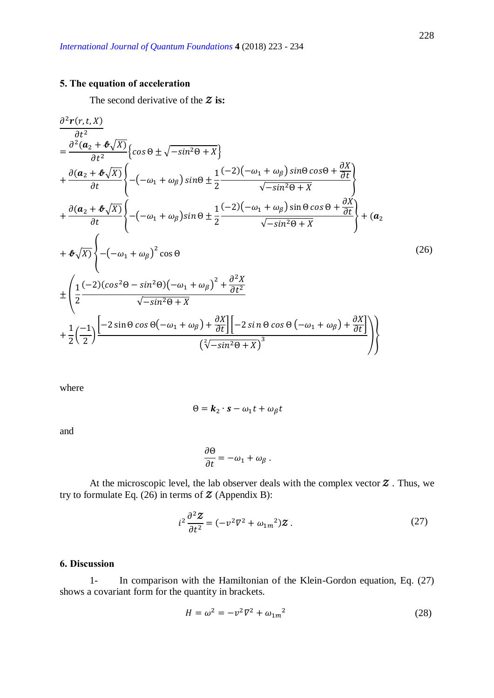# **5. The equation of acceleration**

The second derivative of the  $\boldsymbol{\mathcal{Z}}$  is:

$$
\frac{\partial^2 r(r, t, X)}{\partial t^2} = \frac{\partial^2 (\mathbf{a}_2 + \mathbf{\Phi}\sqrt{X})}{\partial t^2} \left\{ \cos \theta \pm \sqrt{-\sin^2\theta + X} \right\} \n+ \frac{\partial (\mathbf{a}_2 + \mathbf{\Phi}\sqrt{X})}{\partial t} \left\{ -(-\omega_1 + \omega_\beta) \sin \theta \pm \frac{1}{2} \frac{(-2)(-\omega_1 + \omega_\beta) \sin \theta \cos \theta + \frac{\partial X}{\partial t}}{\sqrt{-\sin^2\theta + X}} \right\} \n+ \frac{\partial (\mathbf{a}_2 + \mathbf{\Phi}\sqrt{X})}{\partial t} \left\{ -(-\omega_1 + \omega_\beta) \sin \theta \pm \frac{1}{2} \frac{(-2)(-\omega_1 + \omega_\beta) \sin \theta \cos \theta + \frac{\partial X}{\partial t}}{\sqrt{-\sin^2\theta + X}} \right\} + (\mathbf{a}_2 + \mathbf{\Phi}\sqrt{X}) \left\{ -(-\omega_1 + \omega_\beta)^2 \cos \theta \right\} \n+ \frac{\partial^2 (\mathbf{a}_2 + \mathbf{\Phi}\sqrt{X})}{\sqrt{-\sin^2\theta + X}} \left\{ -\frac{1}{2} \frac{(-2)(\cos^2\theta - \sin^2\theta)(-\omega_1 + \omega_\beta)^2 + \frac{\partial^2 X}{\partial t^2}}{\sqrt{-\sin^2\theta + X}} \right\} + (\mathbf{a}_2 + \mathbf{\Phi}\sqrt{X}) \left\{ -\frac{1}{2} \left( \frac{-2}{2} \right) \frac{[-2\sin\theta \cos\theta(-\omega_1 + \omega_\beta) + \frac{\partial X}{\partial t}][-2\sin\theta \cos\theta(-\omega_1 + \omega_\beta) + \frac{\partial X}{\partial t}]}{(\sqrt[2]{-\sin^2\theta + X})^3} \right\}
$$
\n
$$
(3\sqrt{-\sin^2\theta + X})^3
$$

where

$$
\Theta = \mathbf{k}_2 \cdot \mathbf{s} - \omega_1 t + \omega_\beta t
$$

and

$$
\frac{\partial \Theta}{\partial t} = -\omega_1 + \omega_\beta \; .
$$

At the microscopic level, the lab observer deals with the complex vector  $\boldsymbol{\mathcal{Z}}$  . Thus, we try to formulate Eq. (26) in terms of  $\mathcal Z$  (Appendix B):

$$
i^{2} \frac{\partial^{2} \mathbf{\Sigma}}{\partial t^{2}} = (-v^{2} \nabla^{2} + \omega_{1m}^{2}) \mathbf{\Sigma}.
$$
 (27)

## **6. Discussion**

1- In comparison with the Hamiltonian of the Klein-Gordon equation, Eq. (27) shows a covariant form for the quantity in brackets.

$$
H = \omega^2 = -v^2 \nabla^2 + \omega_{1m}^2 \tag{28}
$$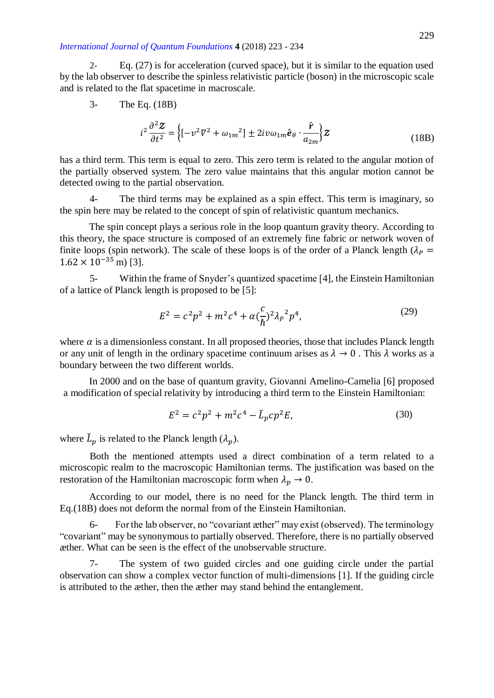2- Eq. (27) is for acceleration (curved space), but it is similar to the equation used by the lab observer to describe the spinless relativistic particle (boson) in the microscopic scale and is related to the flat spacetime in macroscale.

3- The Eq. (18B)

$$
i^{2} \frac{\partial^{2} \mathcal{Z}}{\partial t^{2}} = \left\{ \left[ -v^{2} \nabla^{2} + \omega_{1m}^{2} \right] \pm 2iv \omega_{1m} \hat{\mathbf{e}}_{\theta} \cdot \frac{\hat{\mathbf{r}}}{a_{2m}} \right\} \mathcal{Z}
$$
(18B)

has a third term. This term is equal to zero. This zero term is related to the angular motion of the partially observed system. The zero value maintains that this angular motion cannot be detected owing to the partial observation.

4- The third terms may be explained as a spin effect. This term is imaginary, so the spin here may be related to the concept of spin of relativistic quantum mechanics.

The spin concept plays a serious role in the loop quantum gravity theory. According to this theory, the space structure is composed of an extremely fine fabric or network woven of finite loops (spin network). The scale of these loops is of the order of a Planck length ( $\lambda_p$  =  $1.62 \times 10^{-35}$  m) [3].

5- Within the frame of Snyder's quantized spacetime [4], the Einstein Hamiltonian of a lattice of Planck length is proposed to be [5]:

$$
E^2 = c^2 p^2 + m^2 c^4 + \alpha \left(\frac{c}{\hbar}\right)^2 \lambda_P^2 p^4,\tag{29}
$$

where  $\alpha$  is a dimensionless constant. In all proposed theories, those that includes Planck length or any unit of length in the ordinary spacetime continuum arises as  $\lambda \to 0$ . This  $\lambda$  works as a boundary between the two different worlds.

In 2000 and on the base of quantum gravity, Giovanni Amelino-Camelia [6] proposed a modification of special relativity by introducing a third term to the Einstein Hamiltonian:

$$
E^2 = c^2 p^2 + m^2 c^4 - \check{L}_p c p^2 E,\tag{30}
$$

where  $\check{L}_p$  is related to the Planck length  $(\lambda_p)$ .

Both the mentioned attempts used a direct combination of a term related to a microscopic realm to the macroscopic Hamiltonian terms. The justification was based on the restoration of the Hamiltonian macroscopic form when  $\lambda_p \to 0$ .

According to our model, there is no need for the Planck length. The third term in Eq.(18B) does not deform the normal from of the Einstein Hamiltonian.

6- For the lab observer, no "covariant æther" may exist (observed). The terminology "covariant" may be synonymous to partially observed. Therefore, there is no partially observed æther. What can be seen is the effect of the unobservable structure.

7- The system of two guided circles and one guiding circle under the partial observation can show a complex vector function of multi-dimensions [1]. If the guiding circle is attributed to the æther, then the æther may stand behind the entanglement.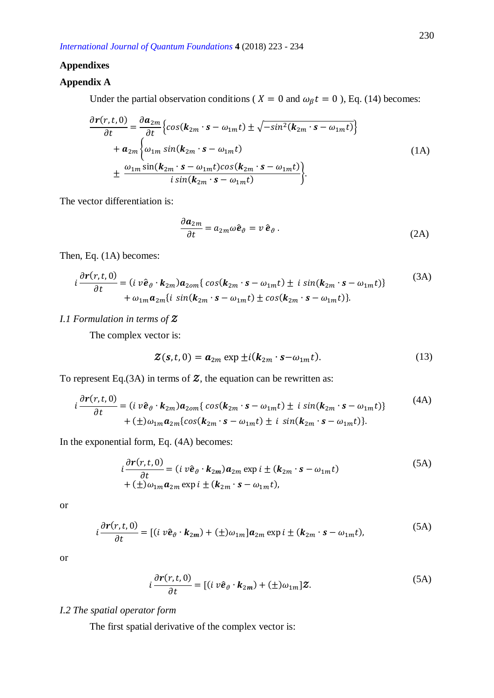### **Appendixes**

### **Appendix A**

Under the partial observation conditions ( $X = 0$  and  $\omega_{\beta} t = 0$ ), Eq. (14) becomes:

$$
\frac{\partial \mathbf{r}(r,t,0)}{\partial t} = \frac{\partial \mathbf{a}_{2m}}{\partial t} \Big\{ \cos(\mathbf{k}_{2m} \cdot \mathbf{s} - \omega_{1m} t) \pm \sqrt{-\sin^2(\mathbf{k}_{2m} \cdot \mathbf{s} - \omega_{1m} t)} \Big\} \n+ \mathbf{a}_{2m} \Big\{ \omega_{1m} \sin(\mathbf{k}_{2m} \cdot \mathbf{s} - \omega_{1m} t) \n+ \frac{\omega_{1m} \sin(\mathbf{k}_{2m} \cdot \mathbf{s} - \omega_{1m} t) \cos(\mathbf{k}_{2m} \cdot \mathbf{s} - \omega_{1m} t)}{i \sin(\mathbf{k}_{2m} \cdot \mathbf{s} - \omega_{1m} t)} \Big\}.
$$
\n(1A)

The vector differentiation is:

$$
\frac{\partial \boldsymbol{a}_{2m}}{\partial t} = a_{2m} \omega \hat{\boldsymbol{e}}_{\vartheta} = v \, \hat{\boldsymbol{e}}_{\vartheta} \,. \tag{2A}
$$

Then, Eq. (1A) becomes:

$$
i\frac{\partial \mathbf{r}(r,t,0)}{\partial t} = (i \,\nu \hat{\mathbf{e}}_{\vartheta} \cdot \mathbf{k}_{2m}) \mathbf{a}_{2om} \{ \cos(\mathbf{k}_{2m} \cdot \mathbf{s} - \omega_{1m} t) \pm i \sin(\mathbf{k}_{2m} \cdot \mathbf{s} - \omega_{1m} t) \} \\ + \omega_{1m} \mathbf{a}_{2m} \{ i \,\sin(\mathbf{k}_{2m} \cdot \mathbf{s} - \omega_{1m} t) \pm \cos(\mathbf{k}_{2m} \cdot \mathbf{s} - \omega_{1m} t) \}.
$$
 (3A)

# *I.1 Formulation in terms of*

The complex vector is:

$$
\mathcal{Z}(\mathbf{s},t,0) = \mathbf{a}_{2m} \exp \pm i(\mathbf{k}_{2m} \cdot \mathbf{s} - \omega_{1m}t). \tag{13}
$$

To represent Eq.(3A) in terms of  $\mathcal{Z}$ , the equation can be rewritten as:

$$
i\frac{\partial r(r,t,0)}{\partial t} = (i\ v\hat{\boldsymbol{e}}_{\vartheta} \cdot \boldsymbol{k}_{2m})\boldsymbol{a}_{2om}\{cos(\boldsymbol{k}_{2m} \cdot \boldsymbol{s} - \omega_{1m}t) \pm i\ sin(\boldsymbol{k}_{2m} \cdot \boldsymbol{s} - \omega_{1m}t)\}\
$$
\n
$$
+ (\pm)\omega_{1m}\boldsymbol{a}_{2m}\{cos(\boldsymbol{k}_{2m} \cdot \boldsymbol{s} - \omega_{1m}t) \pm i\ sin(\boldsymbol{k}_{2m} \cdot \boldsymbol{s} - \omega_{1m}t)\}.
$$
\n(4A)

In the exponential form, Eq. (4A) becomes:

$$
i\frac{\partial r(r,t,0)}{\partial t} = (i\ v\hat{\mathbf{e}}_{\vartheta} \cdot \mathbf{k}_{2m})\mathbf{a}_{2m} \exp i \pm (\mathbf{k}_{2m} \cdot \mathbf{s} - \omega_{1m}t) + (\pm)\omega_{1m}\mathbf{a}_{2m} \exp i \pm (\mathbf{k}_{2m} \cdot \mathbf{s} - \omega_{1m}t),
$$
\n(5A)

or

$$
i\frac{\partial \mathbf{r}(r,t,0)}{\partial t} = [(i \,\nu \hat{\mathbf{e}}_{\vartheta} \cdot \mathbf{k}_{2m}) + (\pm)\omega_{1m}] \mathbf{a}_{2m} \exp i \pm (\mathbf{k}_{2m} \cdot \mathbf{s} - \omega_{1m} t), \tag{5A}
$$

or

$$
i\frac{\partial \mathbf{r}(r,t,0)}{\partial t} = [(i \,\nu \hat{\mathbf{e}}_{\vartheta} \cdot \mathbf{k}_{2m}) + (\pm)\omega_{1m}]\mathbf{Z}.
$$
 (5A)

### *I.2 The spatial operator form*

The first spatial derivative of the complex vector is: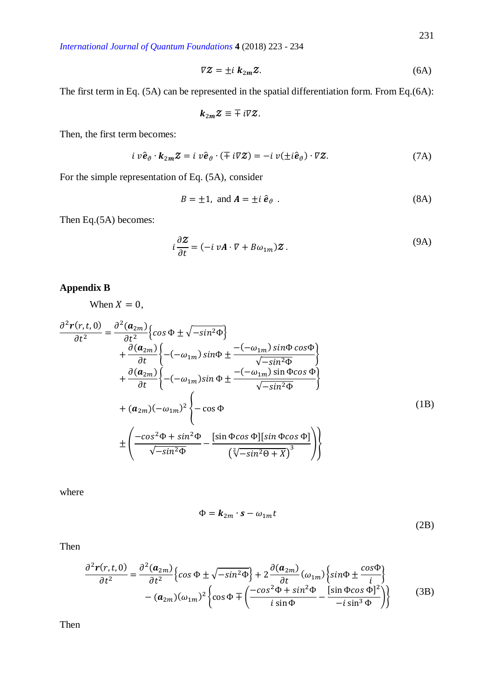$$
\nabla Z = \pm i \; k_{2m} Z. \tag{6A}
$$

The first term in Eq. (5A) can be represented in the spatial differentiation form. From Eq.(6A):

$$
k_{2m}\mathcal{Z}\equiv\mp i\nabla\mathcal{Z}.
$$

Then, the first term becomes:

$$
i \, v \hat{\mathbf{e}}_{\vartheta} \cdot \mathbf{k}_{2m} \mathbf{Z} = i \, v \hat{\mathbf{e}}_{\vartheta} \cdot (\mp \, i \nabla \mathbf{Z}) = -i \, v(\pm i \hat{\mathbf{e}}_{\vartheta}) \cdot \nabla \mathbf{Z}.
$$
 (7A)

For the simple representation of Eq. (5A), consider

$$
B = \pm 1, \text{ and } A = \pm i \hat{e}_{\vartheta} \tag{8A}
$$

Then Eq.(5A) becomes:

$$
i\frac{\partial \mathbf{Z}}{\partial t} = (-i \, v\mathbf{A} \cdot \nabla + B\omega_{1m})\mathbf{Z} \,. \tag{9A}
$$

# **Appendix B**

When  $X = 0$ ,

$$
\frac{\partial^2 \mathbf{r}(r,t,0)}{\partial t^2} = \frac{\partial^2 (\mathbf{a}_{2m})}{\partial t^2} \Big\{ \cos \Phi \pm \sqrt{-\sin^2 \Phi} \Big\} \n+ \frac{\partial (\mathbf{a}_{2m})}{\partial t} \Big\{ -(-\omega_{1m}) \sin \Phi \pm \frac{-(-\omega_{1m}) \sin \Phi \cos \Phi}{\sqrt{-\sin^2 \Phi}} \Big\} \n+ \frac{\partial (\mathbf{a}_{2m})}{\partial t} \Big\{ -(-\omega_{1m}) \sin \Phi \pm \frac{-(-\omega_{1m}) \sin \Phi \cos \Phi}{\sqrt{-\sin^2 \Phi}} \Big\} \n+ (\mathbf{a}_{2m}) (-\omega_{1m})^2 \Big\{ - \cos \Phi \n+ \Big( \frac{-\cos^2 \Phi + \sin^2 \Phi}{\sqrt{-\sin^2 \Phi}} - \frac{[\sin \Phi \cos \Phi][\sin \Phi \cos \Phi]}{(\sqrt[2]{-\sin^2 \Theta + X})^3} \Big) \Big\}
$$
\n(1B)

where

$$
\Phi = \mathbf{k}_{2m} \cdot \mathbf{s} - \omega_{1m} t \tag{2B}
$$

Then

$$
\frac{\partial^2 \mathbf{r}(r,t,0)}{\partial t^2} = \frac{\partial^2 (\mathbf{a}_{2m})}{\partial t^2} \Big\{ \cos \Phi \pm \sqrt{-\sin^2 \Phi} \Big\} + 2 \frac{\partial (\mathbf{a}_{2m})}{\partial t} (\omega_{1m}) \Big\{ \sin \Phi \pm \frac{\cos \Phi}{i} \Big\} -\left(\mathbf{a}_{2m}\right) (\omega_{1m})^2 \Big\{ \cos \Phi \mp \left(\frac{-\cos^2 \Phi + \sin^2 \Phi}{i \sin \Phi} - \frac{[\sin \Phi \cos \Phi]^2}{-i \sin^3 \Phi} \right) \Big\}
$$
(3B)

Then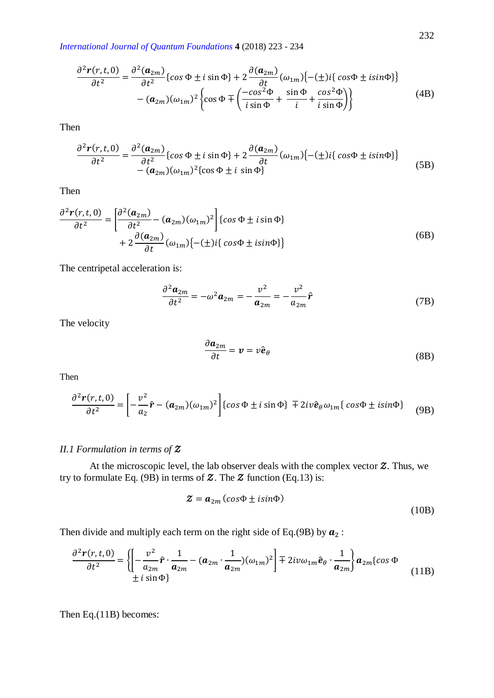$$
\frac{\partial^2 r(r,t,0)}{\partial t^2} = \frac{\partial^2 (\boldsymbol{a}_{2m})}{\partial t^2} \{ \cos \Phi \pm i \sin \Phi \} + 2 \frac{\partial (\boldsymbol{a}_{2m})}{\partial t} (\omega_{1m}) \{ -(\pm) i \{ \cos \Phi \pm i \sin \Phi \} \} - (\boldsymbol{a}_{2m}) (\omega_{1m})^2 \left\{ \cos \Phi \mp \left( \frac{-\cos^2 \Phi}{i \sin \Phi} + \frac{\sin \Phi}{i} \frac{\cos^2 \Phi}{i \sin \Phi} \right) \right\}
$$
(4B)

Then

$$
\frac{\partial^2 \mathbf{r}(r,t,0)}{\partial t^2} = \frac{\partial^2 (\mathbf{a}_{2m})}{\partial t^2} \{ \cos \Phi \pm i \sin \Phi \} + 2 \frac{\partial (\mathbf{a}_{2m})}{\partial t} (\omega_{1m}) \{ -(\pm) i \{ \cos \Phi \pm i \sin \Phi \} \} - (\mathbf{a}_{2m}) (\omega_{1m})^2 \{ \cos \Phi \pm i \sin \Phi \}
$$
(5B)

Then

$$
\frac{\partial^2 \mathbf{r}(r,t,0)}{\partial t^2} = \left[ \frac{\partial^2 (\mathbf{a}_{2m})}{\partial t^2} - (\mathbf{a}_{2m})(\omega_{1m})^2 \right] \{ \cos \Phi \pm i \sin \Phi \} + 2 \frac{\partial (\mathbf{a}_{2m})}{\partial t} (\omega_{1m}) \{ -(\pm) i \{ \cos \Phi \pm i \sin \Phi \} \}
$$
(6B)

The centripetal acceleration is:

$$
\frac{\partial^2 \mathbf{a}_{2m}}{\partial t^2} = -\omega^2 \mathbf{a}_{2m} = -\frac{v^2}{\mathbf{a}_{2m}} = -\frac{v^2}{a_{2m}} \hat{\mathbf{r}}
$$
(7B)

The velocity

$$
\frac{\partial \boldsymbol{a}_{2m}}{\partial t} = \boldsymbol{v} = v \hat{\boldsymbol{e}}_{\theta} \tag{8B}
$$

Then

$$
\frac{\partial^2 \mathbf{r}(r,t,0)}{\partial t^2} = \left[ -\frac{v^2}{a_2}\hat{\mathbf{r}} - (\mathbf{a}_{2m})(\omega_{1m})^2 \right] \{ \cos \Phi \pm i \sin \Phi \} \mp 2i v \hat{\mathbf{e}}_{\theta} \omega_{1m} \{ \cos \Phi \pm i \sin \Phi \} \tag{9B}
$$

### *II.1 Formulation in terms of*

At the microscopic level, the lab observer deals with the complex vector  $Z$ . Thus, we try to formulate Eq. (9B) in terms of  $\mathcal Z$ . The  $\mathcal Z$  function (Eq.13) is:

$$
\mathbf{Z} = \mathbf{a}_{2m} \left( \cos \Phi \pm i \sin \Phi \right) \tag{10B}
$$

Then divide and multiply each term on the right side of Eq.(9B) by  $a_2$ :

$$
\frac{\partial^2 \mathbf{r}(r,t,0)}{\partial t^2} = \left\{ \left[ -\frac{v^2}{a_{2m}} \hat{\mathbf{r}} \cdot \frac{1}{a_{2m}} - (a_{2m} \cdot \frac{1}{a_{2m}})(\omega_{1m})^2 \right] \mp 2iv\omega_{1m} \hat{\mathbf{e}}_{\theta} \cdot \frac{1}{a_{2m}} \right\} a_{2m} \{ \cos \Phi
$$
\n
$$
\pm i \sin \Phi \}
$$
\n(11B)

Then Eq.(11B) becomes: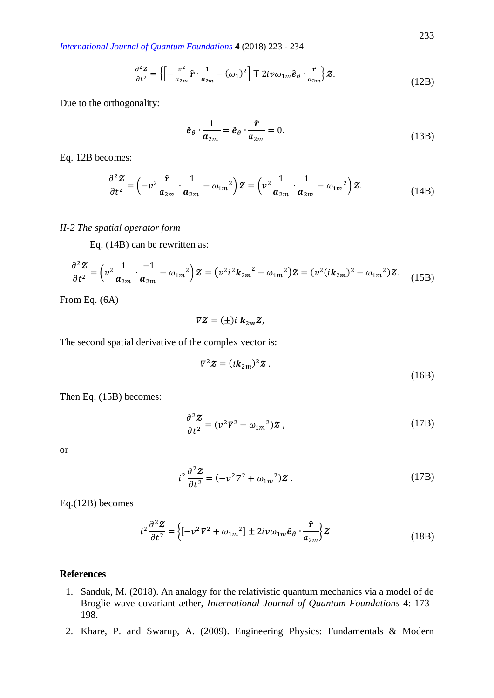$$
\frac{\partial^2 \mathcal{Z}}{\partial t^2} = \left\{ \left[ -\frac{v^2}{a_{2m}} \hat{\mathbf{r}} \cdot \frac{1}{a_{2m}} - (\omega_1)^2 \right] \mp 2iv\omega_{1m} \hat{\mathbf{e}}_\theta \cdot \frac{\hat{\mathbf{r}}}{a_{2m}} \right\} \mathcal{Z}.
$$
\n(12B)

Due to the orthogonality:

$$
\hat{\boldsymbol{e}}_{\theta} \cdot \frac{1}{\boldsymbol{a}_{2m}} = \hat{\boldsymbol{e}}_{\theta} \cdot \frac{\hat{\boldsymbol{r}}}{a_{2m}} = 0.
$$
\n(13B)

Eq. 12B becomes:

$$
\frac{\partial^2 \mathbf{Z}}{\partial t^2} = \left(-v^2 \frac{\hat{\mathbf{r}}}{a_{2m}} \cdot \frac{1}{a_{2m}} - \omega_{1m}^2\right) \mathbf{Z} = \left(v^2 \frac{1}{a_{2m}} \cdot \frac{1}{a_{2m}} - \omega_{1m}^2\right) \mathbf{Z}.
$$
 (14B)

#### *II-2 The spatial operator form*

Eq. (14B) can be rewritten as:

$$
\frac{\partial^2 \mathbf{Z}}{\partial t^2} = \left(v^2 \frac{1}{a_{2m}} \cdot \frac{-1}{a_{2m}} - \omega_{1m}^2\right) \mathbf{Z} = \left(v^2 i^2 \mathbf{k}_{2m}^2 - \omega_{1m}^2\right) \mathbf{Z} = \left(v^2 (i \mathbf{k}_{2m})^2 - \omega_{1m}^2\right) \mathbf{Z}.
$$
 (15B)

From Eq. (6A)

$$
\nabla Z = (\pm) i \; \mathbf{k}_{2m} Z,
$$

The second spatial derivative of the complex vector is:

$$
\nabla^2 \mathbf{Z} = (i\mathbf{k}_{2m})^2 \mathbf{Z} .
$$

Then Eq. (15B) becomes:

$$
\frac{\partial^2 \mathbf{Z}}{\partial t^2} = (v^2 \nabla^2 - \omega_{1m}^2) \mathbf{Z},\tag{17B}
$$

or

$$
i^2 \frac{\partial^2 \mathbf{Z}}{\partial t^2} = (-v^2 \nabla^2 + \omega_{1m}^2) \mathbf{Z} \,. \tag{17B}
$$

Eq.(12B) becomes

$$
i^{2} \frac{\partial^{2} \mathbf{Z}}{\partial t^{2}} = \left\{ \left[ -v^{2} \nabla^{2} + \omega_{1m}^{2} \right] \pm 2iv \omega_{1m} \hat{\mathbf{e}}_{\theta} \cdot \frac{\hat{\mathbf{r}}}{a_{2m}} \right\} \mathbf{Z}
$$
(18B)

#### **References**

- 1. Sanduk, M. (2018). An analogy for the relativistic quantum mechanics via a model of de Broglie wave-covariant æther, *International Journal of Quantum Foundations* 4: 173– 198.
- 2. Khare, P. and Swarup, A. (2009). Engineering Physics: Fundamentals & Modern

(16B)